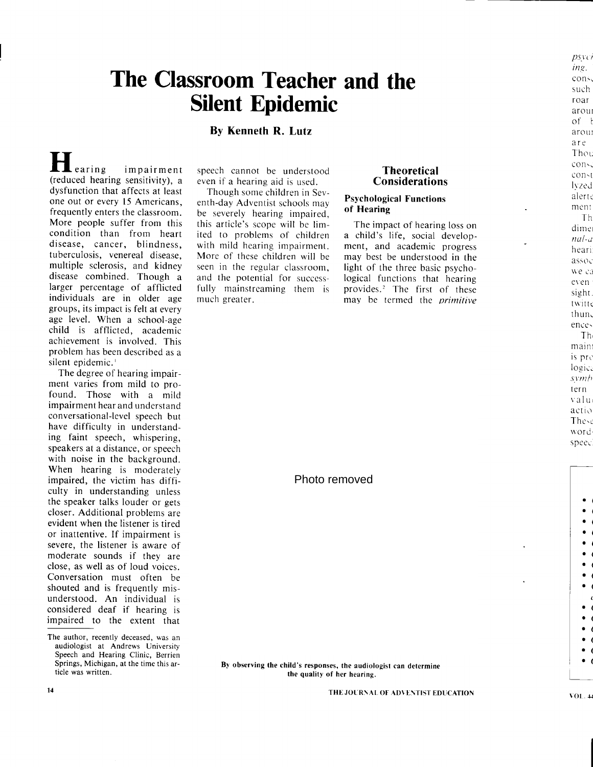# The Classroom Teacher and the Silent Epidemic

By Kenneth R. Lutz

earing impairment (reduced hearing sensitivity), a dysfunction that affects at least one out or every l5 Americans, frequently enters the classroom. More people suffer from this condition than from heart disease, cancer, blindness, tuberculosis, venereal disease, multiple sclerosis, and kidney disease combined. Though a Iarger percentage of afflicted individuals are in older age groups, its impact is felt at every age level. When a school-age child is afflicted, academic achievement is involved. This problem has been described as a silent epidemic.'

The degree of hearing impairment varies from mild to profound. Those with a mild impairment hear and understand conversational-level speech but have difficulty in understanding faint speech, whispering, speakers at a distance, or speech with noise in the background. When hearing is moderately impaired, the victim has difficulty in understanding unless the speaker talks louder or gets closer. Additional problems are evident when the listener is tired or inattentive. If impairment is severe, the listener is aware of moderate sounds if they are close, as well as of loud voices. Conversation must often be shouted and is frequently misunderstood. An individual is considered deaf if hearing is impaired to the extent that

speech cannot be understood even if a hearing aid is used.

Though some children in Seventh-day Adventist schools may be severely hearing impaired, this article's scope will be limited to problems of children with mild hearing impairment. More of these children will be seen in the regular classroom, and the potential for succcssfully mainstreaming them is much greater.

# Theoretical **Considerations**

# Psychological Functions of Hearing

The impact of hearing loss on a child's life, social development, and academic progress may best be understood in the light of the three basic psychological functions that hearing provides.' The first of these may be termed the *primitive* 

Photo removed

By observing the child's responses, the audiologist can determine the quality of her hearing.

The author, recently deceased, was an audiologist at Andrews University Speech and Hearing Clinic, Berrien Springs, Michigan, at the time this article was written.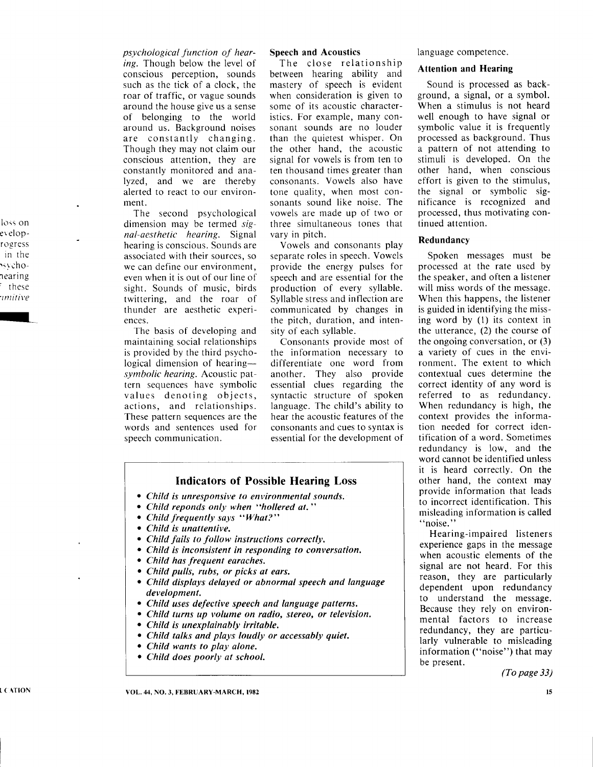psychological function of hearing. Though below the level of conscious perception. sounds such as the tick of a clock, the roar of traffic, or vague sounds around the house give us a sense of belonging to the world around us. Background noises are constantly changing. Though they may not claim our conscious attention, they are constantly monitored and analyzed, and we are thereby alerted to react to our environment.

The second psychological dimension may be termed signal-aesthetic hearing. Signal hearing is conscious. Sounds are associated with their sources, so we can define our environment, even when it is out of our line of sight. Sounds of music, birds twittering, and the roar of thunder are aesthetic experiences.

The basis of developing and maintaining social relationships is provided by the third psychological dimension of hearingsymbolic hearing. Acoustic pattern sequences have symbolic values denoting objects, actions, and relationships. These pattern sequences are the words and sentences used for speech communication.

# Speech and Acoustics

The close relationship between hearing ability and mastery of speech is evident when consideration is given to some of its acoustic characteristics. For example, many consonant sounds are no louder than the quietest whisper. On the other hand, the acoustic signal for vowels is from ten to ten thousand times greater than consonants. Vowels also have tone quality, when most consonants sound like noise. The vowels are made up of two or three simultaneous tones that vary in pitch.

Vowels and consonants play separate roles in speech. Vowels provide the energy pulses for speech and are essential for the production of every syllable. Syllable stress and inflection are communicated by changes in the pitch, duration, and intensity of each syllable.

Consonants provide most of the information necessary to differentiate one word from another. They also provide essential clues regarding the syntactic structure of spoken language. The child's ability to hear the acoustic features of the consonants and cues to syntax is essential for the development of

# Indicators of Possible Hearing Loss

- Child is unresponsive to environmental sounds.
- Child reponds only when "hollered et."
- Child frequently says "What?"
- Child is unattentive.
- Child fails to follow instructions correctly,
- Child is inconsistent in responding to conversation.
- Child has frequent earaches.
- Child pulls, rubs, or picks at ears.
- Child displays delayed or abnormal speech and language development.
- Child uses defective speech and language patterns.
- Child turns up volume on radio, stereo, or television.
- Child is unexplainably irritable
- Child talks and plays loudly or accessably quiet.
- Child wants to play alone.
- Child does poorly at school.

language competence.

### Attention and Hearing

Sound is processed as background, a signal, or a symbol. When a stimulus is not heard well enough to have signal or symbolic value it is frequently processed as background. Thus a pattern of not attending to stimuli is developed. On the other hand, when conscious effort is given to the stimulus, the signal or symbolic significance is recognized and processed, thus motivating continued attention.

### Redundancy

Spoken messages must be processed at the rate used by the speaker, and often a listener will miss words of the message. When this happens, the listener is guided in identifying the missing word by (l) its context in the utterance, (2) the course of the ongoing conversation, or (3) a variety of cues in the environment. The extent to which contextual cues determine the correct identity of any word is referred to as redundancy. When redundancy is high, the context provides the information needed for correct identification of a word. Sometimes redundancy is low, and the word cannot be identified unless it is heard correctly. On the other hand, the context may provide information that leads to incorrect identification. This misleading information is called "noise."

Hearing-impaired listeners experience gaps in the message when acoustic elements of the signal are not heard. For this reason, they are particularly dependent upon redundancy to understand the message. Because they rely on environmental factors to increase redundancy, they are particularly vulnerable to misleading information ("noise") that may be present.

(To page 33)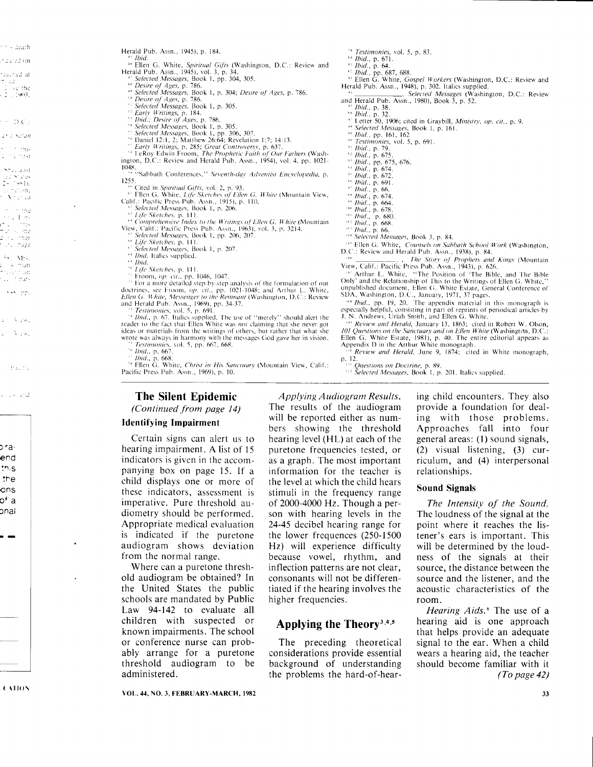Herald Pub. Assn., 1945), p. 184. Ibid.

- <sup>46</sup> Ellen G. White, Spiritual Gifts (Washington, D.C.: Review and Herald Pub. Assn., 1945), vol. 3, p. 34.<br><sup>42</sup> Selected Messages, Book 1, pp. 304, 305.
	-
	- <sup>48</sup> Desire of Ages, p. 786.
	- <sup>49</sup> Selected Messages, Book 1, p. 304; Desire of Ages, p. 786.
	- <sup>to</sup> Desire of Ages, p. 786.
	- Selected Messages, Book 1, p. 305.
	-
	- Selected Messages, 1991.<br>  $\frac{1}{2}$  Early Writings, p. 184.<br>  $\frac{1}{2}$  Ibid.; Desire of Ages, p. 786.
	-
	-
	- Final, Leavier by Agent, P. (1982)<br>
	Selected Messages, Book 1, pp. 305.<br>
	"Selected Messages, Book 1, pp. 306, 307.<br>
	"Daniel 12:1, 2; Matthew 26:64; Revelation 1:7; 14:13.
	- " Early Writings, p. 285; Great Controversy, p. 637.<br>" LeRoy Edwin Froom, The Prophetic Faith of Our Fathers (Wash-
- ington, D.C.: Review and Herald Pub. Assn., 1954), vol. 4, pp. 1021-
- 1048.<br>"Sabbath Conferences," Seventh-day Adventist Encyclopedia, p.
	- Cited in Spiritual Gifts, vol. 2, p. 93.
- <sup>16</sup> Cited in *spiritual Oilis*, vol. 2, p. 25.<br><sup>26</sup> Ellen G. White, *Life Sketches of Ellen G. White* (Mountain View, Calif.: Pacific Press Pub. Assn., 1915), p. 110.
	- Selected Messages, Book 1, p. 206.
	- <sup>65</sup> Life Sketches, p. 111.
- <sup>64</sup> Comprehensive Index to the Writings of Ellen G. White (Mountain View, Calif.: Pacific Press Pub. Assn., 1963), vol. 3, p. 3214.<br>
<sup>\*\*</sup> Selected Messages, Book 1, pp. 206, 207.<br>
<sup>\*\*</sup> Life Sketches, p. 111.
- 
- $\mathbf{A}^{\mathcal{A}}$ Selected Messages, Book 1, p. 207.
- <sup>48</sup> *Ibid*. Italics supplied.
- $\rightsquigarrow$  Ibid.
- <sup>70</sup> Life Sketches, p. 111.
- $\mathbf{v}_1$ Froom, op. cit., pp. 1046, 1047.

<sup>2</sup> For a more detailed step-by-step analysis of the formulation of our doctrines, see Froom, *op. cit.*, pp. 1021-1048; and Arthur L. White, *Ellen G. White, Messenger to the Remnant* (Washington, D.C.: Review

Ellen G. White, Messenger to the Neutralii (Washington, E.S. 1888), and Herald Pub. Assn., 1969), pp. 34-37.<br>
"Testimonies, vol. 5, p. 691.<br>
"Hidd., p. 67. Italics supplied. The use of "merely" should alert the reader to ideas or materials from the writings of others, but rather that what she wrote was always in harmony with the messages God gave her in vision.

- Testimonies, vol. 5, pp. 667, 668.
- \* Ibid., p. 667.
- 

*Mid., p. 668.*<br><sup>78</sup> Ellen G. White, *Christ in His Sanctuary* (Mountain View, Calif.: Pacific Press Pub. Assn., 1969), p. 10.

### **The Silent Epidemic**

(Continued from page 14)

#### **Identifying Impairment**

Certain signs can alert us to hearing impairment. A list of 15 indicators is given in the accompanying box on page 15. If a child displays one or more of these indicators, assessment is imperative. Pure threshold audiometry should be performed. Appropriate medical evaluation is indicated if the puretone audiogram shows deviation from the normal range.

Where can a puretone threshold audiogram be obtained? In the United States the public schools are mandated by Public Law 94-142 to evaluate all children with suspected or known impairments. The school or conference nurse can probably arrange for a puretone threshold audiogram to be administered.

Applying Audiogram Results. The results of the audiogram will be reported either as numbers showing the threshold hearing level (HL) at each of the puretone frequencies tested, or as a graph. The most important information for the teacher is the level at which the child hears stimuli in the frequency range of 2000-4000 Hz. Though a person with hearing levels in the 24-45 decibel hearing range for the lower frequences (250-1500) Hz) will experience difficulty because vowel, rhythm, and inflection patterns are not clear. consonants will not be differentiated if the hearing involves the higher frequencies.

## Applying the Theory<sup>3,4,5</sup>

The preceding theoretical considerations provide essential background of understanding the problems the hard-of-hear-

<sup>19</sup> Testimonies, vol. 5, p. 83.<br><sup>80</sup> Ibid., p. 671.

- <sup>\$1</sup> Ibid., p. 64.
- 

<sup>1</sup> *total*, p. 67, 688.<br><sup>42</sup> *Ibid.*, pp. 687, 688.<br><sup>43</sup> Ellen G. White, *Gospel Workers* (Washington, D.C.: Review and Herald Pub. Assn., 1948), p. 302. Italics supplied.

- ., Selected Messages (Washington, D.C.: Review and Herald Pub. Assn., 1980), Book 3, p. 52.
	-
	-
	- <sup>85</sup> *Ibid.*, p. 38.<br>
	<sup>85</sup> *Ibid.*, p. 32.<br>
	<sup>85</sup> *Ibid.*, p. 32.<br>
	<sup>87</sup> Letter 50, 1906; cited in Graybill, *Ministry, op. cit.*, p. 9.
	- <sup>38</sup> Selected Messages, Book 1, p. 161.<br><sup>89</sup> Ibid., pp. 161, 162.
	-
	- <sup>40</sup> Testimonies, vol. 5, p. 691.
	- $"$  *Ibid.*, p. 79.
	- $92$  *Ibid.*, p. 675. <sup>41</sup> *Ibid.*, pp. 675, 676.
	- <sup>94</sup> Ibid., p. 674.
	- $\stackrel{\text{49}}{ }$  Ibid., p. 672.
	- <sup>96</sup> *Ibid.*, p. 691.
	- $\cdot$  *Ibid.*, p. 66.
	- \*\* *Ibid.*, p. 674.
	- <sup>99</sup> Ibid., p. 664.
- 100 Ibid., p. 678 <sup>101</sup> Ibid., p. 680.
- $102$  *Ibid.*, p. 668.
- <sup>103</sup> *Ibid.*, p. 66.
- <sup>104</sup> Selected Messages, Book 3, p. 84.
- 105 Ellen G. White, Counsels on Sabbath School Work (Washington, D.C.: Review and Herald Pub. Assn., 1938), p. 84.
- The Story of Prophets and Kings (Mountain View, Calif.: Pacific Press Pub. Assn., 1943), p. 626.

View, Cant.: Pacine Press Pub. Assn., 1943), p. 626.<br><sup>192</sup> Arthur L. White, "The Position of 'The Bible Only' and the Relationship of This to the Writings of Ellen G. White,"<br>unpublished document, Ellen G. White Estate, Ge

BDA, washington, D.O., The appendix material in this monograph is<br>especially helpful, consisting in part of reprints of periodical articles by<br>J. N. Andrews, Uriah Smith, and Ellen G. White.<br><sup>189</sup> *Review and Herald*, Jan

101 Ouestions on the Sanctuary and on Ellen White (Washington, D.C. Ellen G. White Estate, 1981), p. 40. The entire editorial appears as Appendix D in the Arthur White monograph.

<sup>116</sup> Review and Herald, June 9, 1874; cited in White monograph, p. 12.

<sup>111</sup> Questions on Doctrine, p. 89.<br><sup>112</sup> Selected Messages, Book 1, p. 201. Italics supplied.

ing child encounters. They also provide a foundation for dealing with those problems. Approaches fall into four general areas: (1) sound signals,  $(2)$  visual listening,  $(3)$  curriculum, and (4) interpersonal relationships.

#### **Sound Signals**

The Intensity of the Sound. The loudness of the signal at the point where it reaches the listener's ears is important. This will be determined by the loudness of the signals at their source, the distance between the source and the listener, and the acoustic characteristics of the room.

Hearing Aids.<sup>6</sup> The use of a hearing aid is one approach that helps provide an adequate signal to the ear. When a child wears a hearing aid, the teacher should become familiar with it  $(To$  page 42)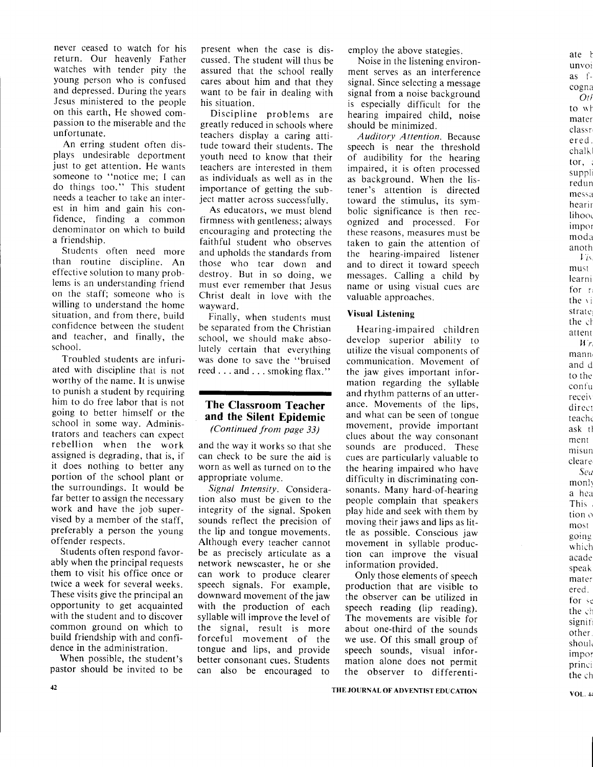never ceased to watch for his return. Our heavenly Father watches with tender pity the young person who is confused and depressed. During the years Jesus ministered to the people on this earth, He showed compassion to the miserable and the unfortunate.

An erring student often displays undesirable deportment just to get attention. He wants someone to "notice me; I can do things too." This studenr needs a teacher to take an interest in him and gain his confidence, finding a common denominator on which to build a friendship.

Students often need more than routine discipline. An effective solution to many problems is an understanding friend on the staff; someone who is willing to understand the home situation, and from there, build confidence between the student and teacher, and finally, the school.

Troubled students are infuriated with discipline that is not worthy of the name. lt is unwise to punish a student by requiring him to do free labor that is not going to better himself or the school in some way. Administrators and teachers can expect rebellion when the work assigned is degrading, that is, if it does nothing to better any portion of the school plant or the surroundings. It would be far better to assign the necessary work and have the job supervised by a member of the staff, preferably a person the young offender respects.

Students often respond favorably when the principal requests them to visit his office once or twice a week for several weeks. These visits give the principal an opportunity to get acquainted with the student and to discover common ground on which to build friendship with and confidence in the administration.

When possible, the student's pastor should be invited to be

present when the case is discussed. The student will thus be assured that the school really cares about him and that they want to be fair in dealing with his situation.

Discipline problems are greatly reduced in schools where teachers display a caring attitude toward their students. The youth need to know that their teachers are interested in them as individuals as well as in the importance of getting the subject matter across successfully.

As educators, we must blend firmness with gentleness; always encouraging and protecting the faithful student who observes and upholds the standards from those who tear down and destroy. But in so doing, we must ever remember that Jesus Christ dealt in love with the wayward.

Finally, when students must be separated from the Christian school, we should make absolutely certain that everything was done to save the "bruised reed...and...smoking flax."

# The Classroom Teacher and the Silent Epidemic

(Continued from page 33)

and the way it works so that she can check to be sure the aid is worn as well as turned on to the appropriate volume.

Signal Intensity. Consideration also must be given to the integrity of the signal. Spoken sounds reflect the precision of the lip and tongue movements. Although every teacher cannot be as precisely articulate as a network newscaster, he or she can work to produce clearer speech signals. For example, downward movement of the jaw with the production of each syllable will improve the level of the signal, result is more forceful movement of the tongue and lips, and provide better consonant cues. Students can also be encouraged to

employ the above stategies.

Noise in the lisrening environment serves as an interference signal. Since selecting a message signal from a noise background is especially difficult for rhe hearing impaired child, noise should be minimized.

Auditory Attention. Because speech is near the threshold of audibility for the hearing impaired, it is often processed as background. When the listener's attention is directed toward the stimulus, its symbolic significance is then recognized and processed. For these reasons, measures must be taken to gain the attention of the hearing-impaired listener and to direct it toward speech messages. Calling a child by name or using visual cues are valuable approaches.

# Visual Listening

Hearing-impaired children develop superior ability to utilize the visual components of communication. Movement of the jaw gives important information regarding the syllable and rhythm patterns of an utterance. Movements of the lips, and what can be seen of tongue movement, provide important clues about the way consonant sounds are produced. These cues are particularly valuable to the hearing impaired who have difficulty in discriminating consonants. Many hard-of-hearing people complain that speakers play hide and seek with them by moving their jaws and lips as little as possible. Conscious jaw movement in syllable production can improve the visual information provided.

Only those elements of speech production that are visible to the observer can be utilized in speech reading (lip reading). The movements are visible for about one-third of the sounds we use. Of this small group of speech sounds, visual information alone does not permit the observer to differenti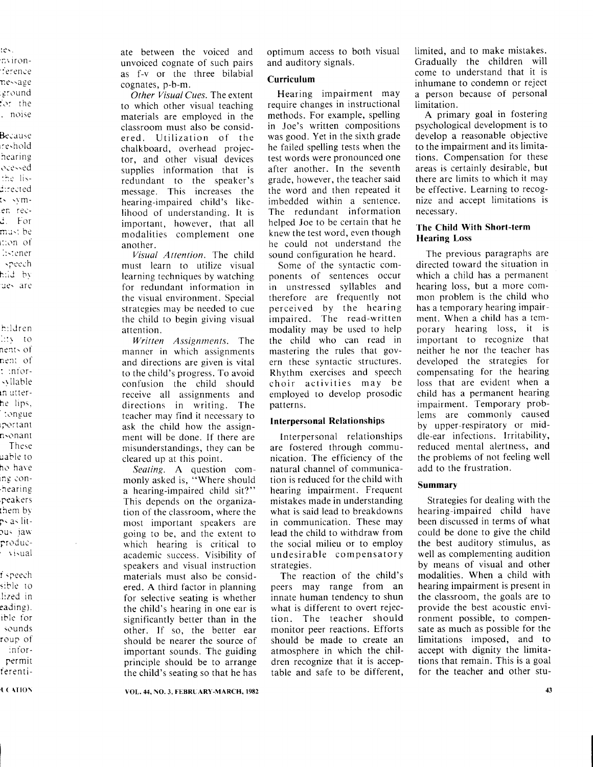ate between the voiced and unvoiced cognate of such pairs as f-v or the three bilabial cognates, p-b-m.

Other Visual Cues. The extent to which other visual teaching materials are employed in the classroom must also be considered. Utilization of the chalkboard, overhead projector, and other visual devices supplies information that is redundant to the speaker's message. This increases the hearing-impaired child's likelihood of understanding. It is important, however, that all modalities complement one another.

Visual Attention. The child must learn to utilize visual learning techniques by watching for redundant in formation in the visual environment. Special strategies may be needed to cue the child to begin giving visual attention.

Written Assignments. The manner in which assignments and directions are given is vital to the child's progress. To avoid confusion the child should receive all assignments and directions in writing. The teacher may find it necessary to ask rhe child how the assignment will be done. lf there are misunderstandings, they can be cleared up at this point.

Seating. A question commonly asked is, "Where should a hearing-impaired child sit?" This depends on the organization of the classroom, where the most important speakers are going to be, and the extent to which hearing is critical to academic success. Visibility of speakers and visual instruction materials must also be considered. A third factor in planning for selective seating is whether the child's hearing in one ear is significantly better than in the other. If so, the better ear should be nearer the source of important sounds. The guiding principle should be to arrange the child's seating so that he has optimum access to both visual and auditory signals.

# Curriculum

Hearing impairment maY require changes in instructional methods. For example, spelling in Joe's written compositions was good. Yet in the sixth grade he failed spelling tests when the test words were pronounced one after another. In the seventh grade, however, the teacher said the word and then repeated it imbedded within a sentence. The redundant information helped Joe to be certain that he knew the test word, even though he could not understand the sound configuration he heard.

Some of the syntactic components of sentences occur in unstressed syllables and therefore are frequently not perceived by the hearing impaired. The read-written modality may be used to help the child who can read in mastering the rules that govern these syntactic structures. Rhythm exercises and speech choir activities may be employed to develop prosodic patterns.

# Interpersonal Relationships

Interpersonal relationships are fostered through communication. The efficiency of the natural channel of communication is reduced for the child with hearing impairment. Frequent mistakes made in understanding what is said lead to breakdowns in communication. These may lead the child to withdraw from the social milieu or to emploY undesirable compensatory strategies.

The reaction of the child's peers may range from an innate human tendency to shun what is different to overt rejection. The teacher should monitor peer reactions. Efforts should be made to create an atmosphere in which the children recognize that it is acceptable and safe to be different,

limited, and to make mistakes. Gradually the children will come to understand that it is inhumane to condemn or reject a person because of personal limitation.

A primary goal in fostering psychological development is to develop a reasonable objective to the impairment and its limitations. Compensation for these areas is certainly desirable, but there are limits to which it may be effective. Learning to recognize and accept limitations is necessary.

# The Child With Short-term Hearing Loss

The previous paragraphs are directed toward the situation in which a child has a permanent hearing loss, but a more common problem is the child who has a temporary hearing impairment. When a child has a temporary hearing loss, it is important to recognize that neither he nor the teacher has developed the strategies for compensating for the hearing loss that are evident when a child has a permanent hearing impairment. Temporary problems are commonly caused by upper-respiratory or middle-ear infections. Irritability, reduced mental alertness, and the problems of not feeling well add to the frustration.

# Summary

Strategies for dealing with the hearing-impaired child have been discussed in terms of what could be done to give the child the best auditory stimulus, as well as complementing audition by means of visual and other modalities. When a child with hearing impairment is present in the classroom, the goals are to provide the best acoustic environment possible, to compensate as much as possible for the limitations imposed, and to accept with dignity the limitations that remain. This is a goal for the teacher and other stu